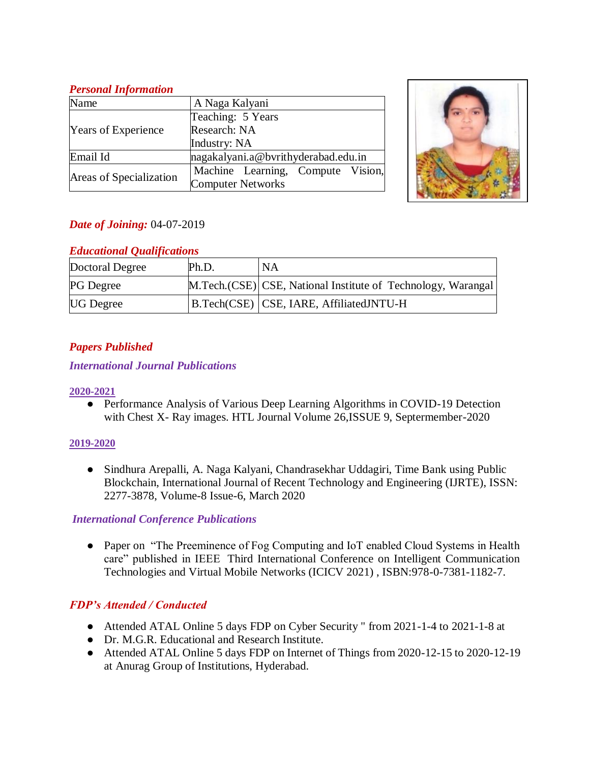### *Personal Information*

| Name                       | A Naga Kalyani                      |  |  |
|----------------------------|-------------------------------------|--|--|
|                            | Teaching: 5 Years                   |  |  |
| <b>Years of Experience</b> | Research: NA                        |  |  |
|                            | Industry: NA                        |  |  |
| Email Id                   | nagakalyani.a@bvrithyderabad.edu.in |  |  |
| Areas of Specialization    | Machine Learning, Compute Vision,   |  |  |
|                            | <b>Computer Networks</b>            |  |  |



# *Date of Joining:* 04-07-2019

# *Educational Qualifications*

| Doctoral Degree  | Ph.D. | NA                                                           |
|------------------|-------|--------------------------------------------------------------|
| <b>PG</b> Degree |       | M.Tech.(CSE) CSE, National Institute of Technology, Warangal |
| <b>UG</b> Degree |       | B.Tech(CSE)   CSE, IARE, AffiliatedJNTU-H                    |

# *Papers Published*

#### *International Journal Publications*

#### **2020-2021**

• Performance Analysis of Various Deep Learning Algorithms in COVID-19 Detection with Chest X- Ray images. HTL Journal Volume 26,ISSUE 9, Septermember-2020

#### **2019-2020**

● Sindhura Arepalli, A. Naga Kalyani, Chandrasekhar Uddagiri, Time Bank using Public Blockchain, International Journal of Recent Technology and Engineering (IJRTE), ISSN: 2277-3878, Volume-8 Issue-6, March 2020

# *International Conference Publications*

• Paper on "The Preeminence of Fog Computing and IoT enabled Cloud Systems in Health care" published in IEEE Third International Conference on Intelligent Communication Technologies and Virtual Mobile Networks (ICICV 2021) , ISBN:978-0-7381-1182-7.

# *FDP's Attended / Conducted*

- Attended ATAL Online 5 days FDP on Cyber Security " from 2021-1-4 to 2021-1-8 at
- Dr. M.G.R. Educational and Research Institute.
- Attended ATAL Online 5 days FDP on Internet of Things from 2020-12-15 to 2020-12-19 at Anurag Group of Institutions, Hyderabad.